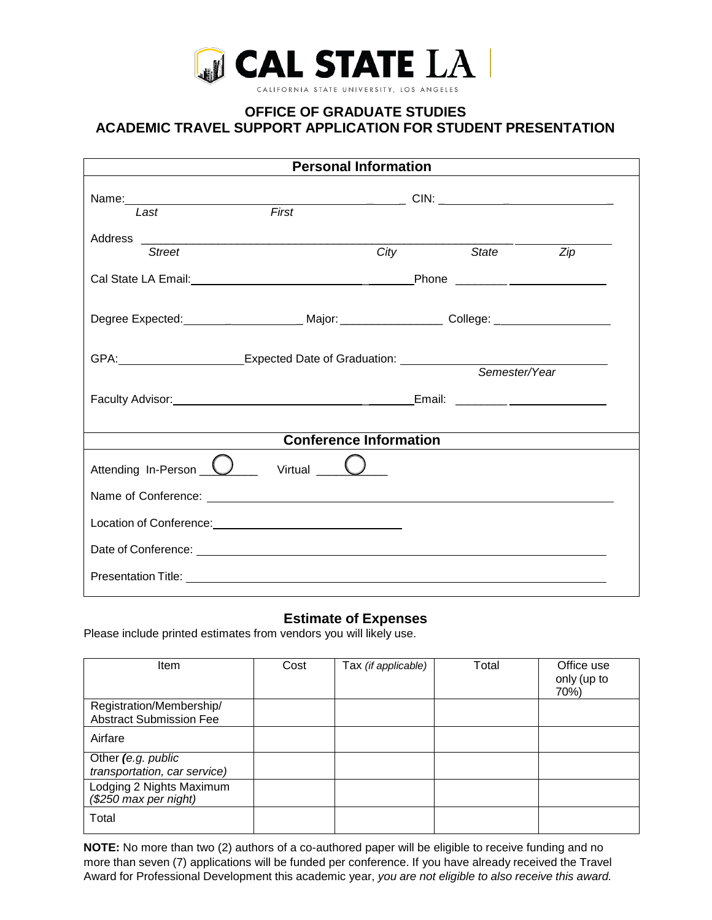

# **OFFICE OF GRADUATE STUDIES ACADEMIC TRAVEL SUPPORT APPLICATION FOR STUDENT PRESENTATION**

| <b>Personal Information</b>   |                                                                                                                                                                                                                                      |             |                     |                  |  |  |  |
|-------------------------------|--------------------------------------------------------------------------------------------------------------------------------------------------------------------------------------------------------------------------------------|-------------|---------------------|------------------|--|--|--|
| Last                          | First                                                                                                                                                                                                                                |             |                     |                  |  |  |  |
| <b>Street</b>                 |                                                                                                                                                                                                                                      | <b>City</b> | <i><b>State</b></i> | $\overline{Zip}$ |  |  |  |
|                               |                                                                                                                                                                                                                                      |             |                     |                  |  |  |  |
|                               | Degree Expected:_______________________Major:____________________College: _________________________                                                                                                                                  |             |                     |                  |  |  |  |
|                               | GPA: CPA: COMPUTE: Expected Date of Graduation:                                                                                                                                                                                      |             |                     | Semester/Year    |  |  |  |
|                               |                                                                                                                                                                                                                                      |             |                     |                  |  |  |  |
| <b>Conference Information</b> |                                                                                                                                                                                                                                      |             |                     |                  |  |  |  |
|                               | Attending In-Person $\bigcup$ virtual $\bigcup$                                                                                                                                                                                      |             |                     |                  |  |  |  |
|                               | Name of Conference: example and the state of Conference of Conference:                                                                                                                                                               |             |                     |                  |  |  |  |
|                               | Location of Conference:<br><u>Location</u> of Conference:                                                                                                                                                                            |             |                     |                  |  |  |  |
|                               | Date of Conference: <u>example and contract and contract and contract and contract and contract and contract and contract and contract of the contract of the contract of the contract of the contract of the contract of the co</u> |             |                     |                  |  |  |  |
|                               | Presentation Title: <u>contract of the contract of the contract of the contract of the contract of the contract of</u>                                                                                                               |             |                     |                  |  |  |  |

# **Estimate of Expenses**

Please include printed estimates from vendors you will likely use.

| <b>Item</b>                                                | Cost | Tax (if applicable) | Total | Office use<br>only (up to<br>70%) |
|------------------------------------------------------------|------|---------------------|-------|-----------------------------------|
| Registration/Membership/<br><b>Abstract Submission Fee</b> |      |                     |       |                                   |
| Airfare                                                    |      |                     |       |                                   |
| Other (e.g. public<br>transportation, car service)         |      |                     |       |                                   |
| Lodging 2 Nights Maximum<br>(\$250 max per night)          |      |                     |       |                                   |
| Total                                                      |      |                     |       |                                   |

**NOTE:** No more than two (2) authors of a co-authored paper will be eligible to receive funding and no more than seven (7) applications will be funded per conference. If you have already received the Travel Award for Professional Development this academic year, *you are not eligible to also receive this award.*